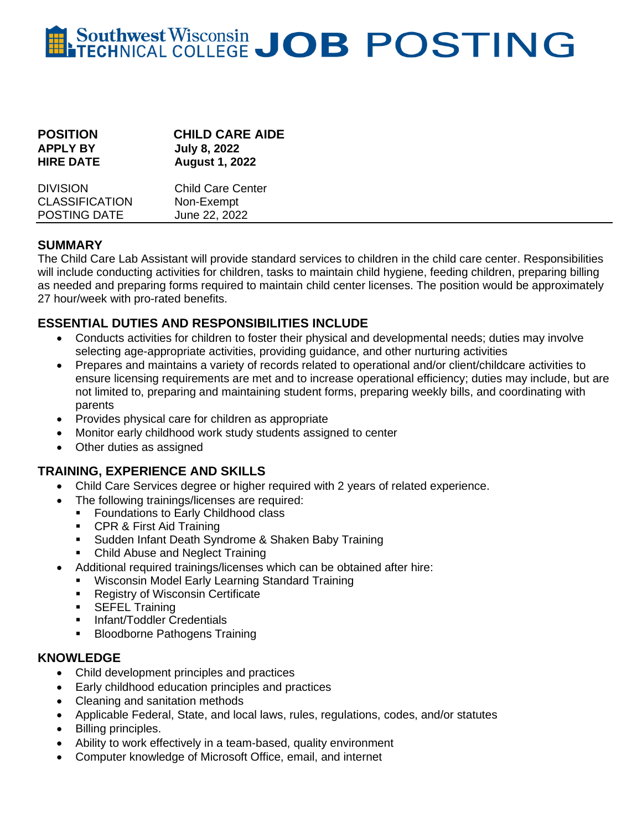# **Southwest Wisconsin JOB POSTING**

| <b>POSITION</b><br><b>APPLY BY</b><br><b>HIRE DATE</b> | <b>CHILD CARE AIDE</b><br><b>July 8, 2022</b><br><b>August 1, 2022</b> |
|--------------------------------------------------------|------------------------------------------------------------------------|
| <b>DIVISION</b>                                        | <b>Child Care Center</b>                                               |
| <b>CLASSIFICATION</b>                                  | Non-Exempt                                                             |
| POSTING DATE                                           | June 22, 2022                                                          |

## **SUMMARY**

The Child Care Lab Assistant will provide standard services to children in the child care center. Responsibilities will include conducting activities for children, tasks to maintain child hygiene, feeding children, preparing billing as needed and preparing forms required to maintain child center licenses. The position would be approximately 27 hour/week with pro-rated benefits.

# **ESSENTIAL DUTIES AND RESPONSIBILITIES INCLUDE**

- Conducts activities for children to foster their physical and developmental needs; duties may involve selecting age-appropriate activities, providing guidance, and other nurturing activities
- Prepares and maintains a variety of records related to operational and/or client/childcare activities to ensure licensing requirements are met and to increase operational efficiency; duties may include, but are not limited to, preparing and maintaining student forms, preparing weekly bills, and coordinating with parents
- Provides physical care for children as appropriate
- Monitor early childhood work study students assigned to center
- Other duties as assigned

# **TRAINING, EXPERIENCE AND SKILLS**

- Child Care Services degree or higher required with 2 years of related experience.
- The following trainings/licenses are required:
	- **•** Foundations to Early Childhood class
	- CPR & First Aid Training
	- Sudden Infant Death Syndrome & Shaken Baby Training
	- Child Abuse and Neglect Training
- Additional required trainings/licenses which can be obtained after hire:
	- Wisconsin Model Early Learning Standard Training
	- Registry of Wisconsin Certificate
	- **EXECUTE** Training
	- **·** Infant/Toddler Credentials
	- **■** Bloodborne Pathogens Training

# **KNOWLEDGE**

- Child development principles and practices
- Early childhood education principles and practices
- Cleaning and sanitation methods
- Applicable Federal, State, and local laws, rules, regulations, codes, and/or statutes
- Billing principles.
- Ability to work effectively in a team-based, quality environment
- Computer knowledge of Microsoft Office, email, and internet